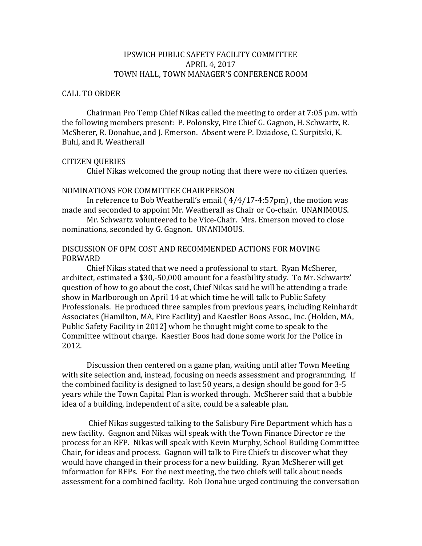## IPSWICH PUBLIC SAFETY FACILITY COMMITTEE APRIL 4, 2017 TOWN HALL, TOWN MANAGER'S CONFERENCE ROOM

### CALL TO ORDER

Chairman Pro Temp Chief Nikas called the meeting to order at 7:05 p.m. with the following members present: P. Polonsky, Fire Chief G. Gagnon, H. Schwartz, R. McSherer, R. Donahue, and J. Emerson. Absent were P. Dziadose, C. Surpitski, K. Buhl, and R. Weatherall

#### CITIZEN QUERIES

Chief Nikas welcomed the group noting that there were no citizen queries.

### NOMINATIONS FOR COMMITTEE CHAIRPERSON

In reference to Bob Weatherall's email ( 4/4/17-4:57pm) , the motion was made and seconded to appoint Mr. Weatherall as Chair or Co-chair. UNANIMOUS.

Mr. Schwartz volunteered to be Vice-Chair. Mrs. Emerson moved to close nominations, seconded by G. Gagnon. UNANIMOUS.

## DISCUSSION OF OPM COST AND RECOMMENDED ACTIONS FOR MOVING FORWARD

Chief Nikas stated that we need a professional to start. Ryan McSherer, architect, estimated a \$30,-50,000 amount for a feasibility study. To Mr. Schwartz' question of how to go about the cost, Chief Nikas said he will be attending a trade show in Marlborough on April 14 at which time he will talk to Public Safety Professionals. He produced three samples from previous years, including Reinhardt Associates (Hamilton, MA, Fire Facility) and Kaestler Boos Assoc., Inc. (Holden, MA, Public Safety Facility in 2012] whom he thought might come to speak to the Committee without charge. Kaestler Boos had done some work for the Police in 2012.

Discussion then centered on a game plan, waiting until after Town Meeting with site selection and, instead, focusing on needs assessment and programming. If the combined facility is designed to last 50 years, a design should be good for 3-5 years while the Town Capital Plan is worked through. McSherer said that a bubble idea of a building, independent of a site, could be a saleable plan.

Chief Nikas suggested talking to the Salisbury Fire Department which has a new facility. Gagnon and Nikas will speak with the Town Finance Director re the process for an RFP. Nikas will speak with Kevin Murphy, School Building Committee Chair, for ideas and process. Gagnon will talk to Fire Chiefs to discover what they would have changed in their process for a new building. Ryan McSherer will get information for RFPs. For the next meeting, the two chiefs will talk about needs assessment for a combined facility. Rob Donahue urged continuing the conversation